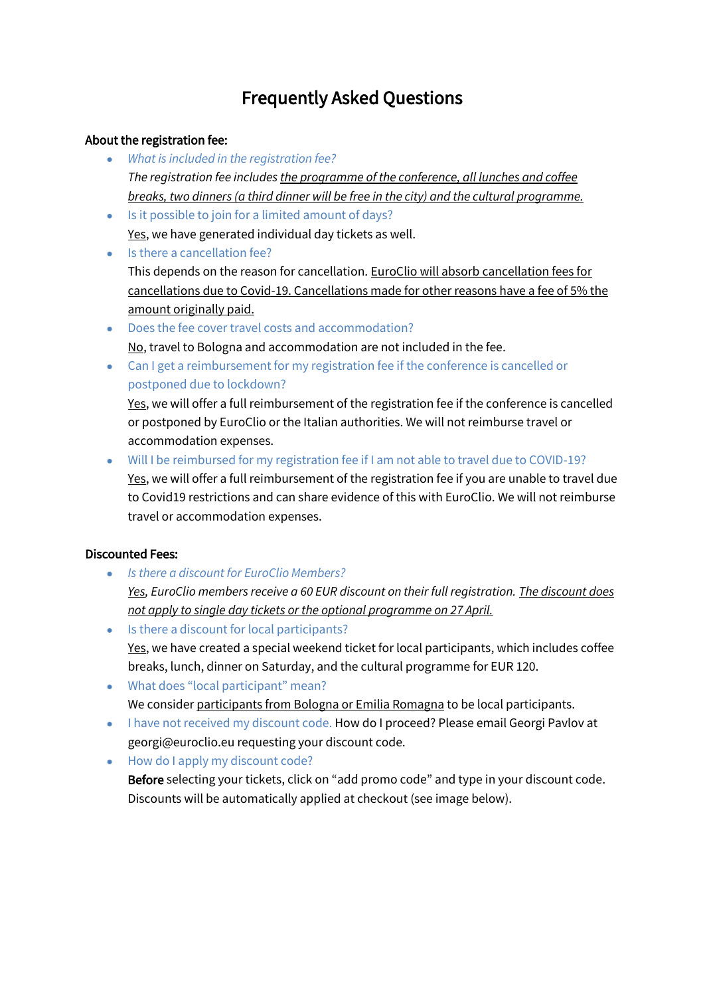# Frequently Asked Questions

### About the registration fee:

- *What is included in the registration fee? The registration fee includes the programme of the conference, all lunches and coffee breaks, two dinners (a third dinner will be free in the city) and the cultural programme.*
- Is it possible to join for a limited amount of days? Yes, we have generated individual day tickets as well.
- Is there a cancellation fee? This depends on the reason for cancellation. EuroClio will absorb cancellation fees for cancellations due to Covid-19. Cancellations made for other reasons have a fee of 5% the amount originally paid.
- Does the fee cover travel costs and accommodation? No, travel to Bologna and accommodation are not included in the fee.
- Can I get a reimbursement for my registration fee if the conference is cancelled or postponed due to lockdown?

Yes, we will offer a full reimbursement of the registration fee if the conference is cancelled or postponed by EuroClio or the Italian authorities. We will not reimburse travel or accommodation expenses.

● Will I be reimbursed for my registration fee if I am not able to travel due to COVID-19? Yes, we will offer a full reimbursement of the registration fee if you are unable to travel due to Covid19 restrictions and can share evidence of this with EuroClio. We will not reimburse travel or accommodation expenses.

## Discounted Fees:

● *Is there a discount for EuroClio Members?*

*Yes, EuroClio members receive a 60 EUR discount on their full registration. The discount does not apply to single day tickets or the optional programme on 27 April.*

- Is there a discount for local participants? Yes, we have created a special weekend ticket for local participants, which includes coffee breaks, lunch, dinner on Saturday, and the cultural programme for EUR 120.
- What does "local participant" mean? We consider participants from Bologna or Emilia Romagna to be local participants.
- I have not received my discount code. How do I proceed? Please email Georgi Pavlov at georgi@euroclio.eu requesting your discount code.
- How do I apply my discount code?

Before selecting your tickets, click on "add promo code" and type in your discount code. Discounts will be automatically applied at checkout (see image below).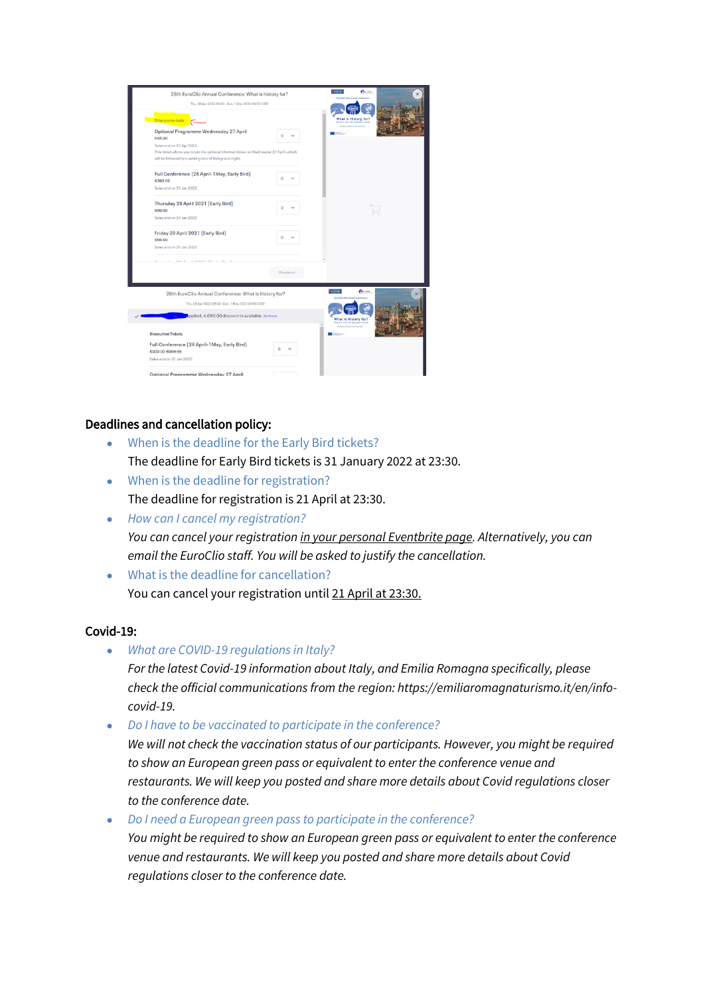| Enter promo code<br>Optional Programme Wednesday 27 April<br><b>C35.00</b>                                                                                                      | 0        | What is History for?<br>listery and the present wert<br>Bologna, 28 April to \$1 Nay 2022 |
|---------------------------------------------------------------------------------------------------------------------------------------------------------------------------------|----------|-------------------------------------------------------------------------------------------|
|                                                                                                                                                                                 |          |                                                                                           |
|                                                                                                                                                                                 |          |                                                                                           |
| Sales end on 21 Apr 2022<br>This ticket allows you to join the optional informal dinner on Wednesday 27 April, which<br>will be followed by a walking tour of Bologna at night. |          |                                                                                           |
| Full Conference (28 April-1 May, Early Bird)<br>€360.00                                                                                                                         | n        |                                                                                           |
| Sales end on 31 Jan 2022                                                                                                                                                        |          |                                                                                           |
| Thursday 28 April 2021 (Early Bird)<br>£90.00                                                                                                                                   |          |                                                                                           |
| Sales end on 31 Jan 2022                                                                                                                                                        |          |                                                                                           |
| Friday 29 April 2021 (Early Bird)<br>€90.00                                                                                                                                     | o        |                                                                                           |
| Sales end on 31 Jan 2022                                                                                                                                                        |          |                                                                                           |
| on a stopped from the ab                                                                                                                                                        |          |                                                                                           |
|                                                                                                                                                                                 | Checkout |                                                                                           |
| 28th EuroClio Annual Conference: What is history for?                                                                                                                           |          | <b>CECO/AR</b><br><b>P</b> inotte<br><b>EuroCliv 2015 Annual Corde</b>                    |
| Thu, 28 Apr 2022 09:00 - Sun, 1 May 2022 09:00 CEST                                                                                                                             |          |                                                                                           |
| Applied. A €60.00 discount is available. Remove                                                                                                                                 |          | What is History for?<br>Mixtory and thy procent ward                                      |
| <b>Discounted Tickets</b>                                                                                                                                                       |          | Belegrie 20-ko from 15 View 2022                                                          |
| Full Conference (28 April-1 May, Early Bird)<br>C300.00 0360 08<br>Sales end on 31 Jan 2022                                                                                     | $\circ$  |                                                                                           |
| Ontional Programme Wednesday 27 April                                                                                                                                           |          |                                                                                           |

### Deadlines and cancellation policy:

- When is the deadline for the Early Bird tickets? The deadline for Early Bird tickets is 31 January 2022 at 23:30.
- When is the deadline for registration? The deadline for registration is 21 April at 23:30.
- *How can I cancel my registration? You can cancel your registration in your personal Eventbrite page. Alternatively, you can email the EuroClio staff. You will be asked to justify the cancellation.*
- What is the deadline for cancellation? You can cancel your registration until 21 April at 23:30.

#### Covid-19:

- *What are COVID-19 regulations in Italy? For the latest Covid-19 information about Italy, and Emilia Romagna specifically, please check the official communications from the region: https://emiliaromagnaturismo.it/en/infocovid-19.*
- *Do I have to be vaccinated to participate in the conference?*

*We will not check the vaccination status of our participants. However, you might be required to show an European green pass or equivalent to enter the conference venue and restaurants. We will keep you posted and share more details about Covid regulations closer to the conference date.*

● *Do I need a European green pass to participate in the conference?*

*You might be required to show an European green pass or equivalent to enter the conference venue and restaurants. We will keep you posted and share more details about Covid regulations closer to the conference date.*